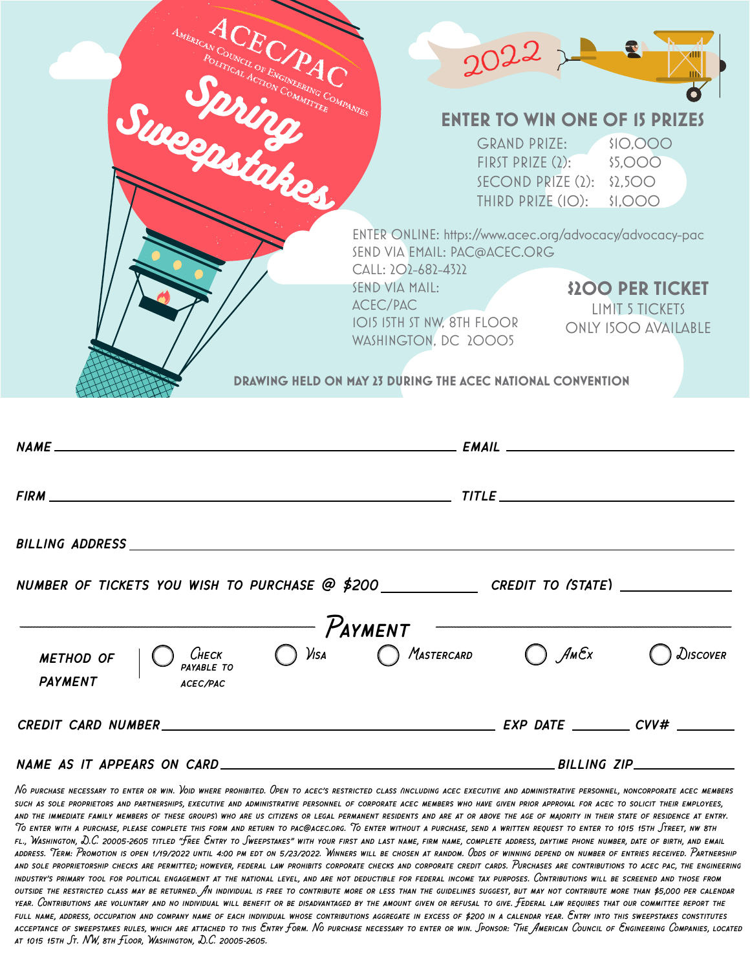| ACEC/PAC<br>AMERICAN COUNCIL OF ENGINEERING COMPANIES<br>Successiakes                                                                                                                                                         | $2022 - 2$<br><b>ENTER TO WIN ONE OF 15 PRIZES</b><br>\$IO,OOO<br><b>GRAND PRIZE:</b><br>FIRST PRIZE $(2)$ : \$5,000<br>SECOND PRIZE $(2)$ : \$2,500<br>THIRD PRIZE (IO): \$1,000                                                                                                                                                                   |
|-------------------------------------------------------------------------------------------------------------------------------------------------------------------------------------------------------------------------------|-----------------------------------------------------------------------------------------------------------------------------------------------------------------------------------------------------------------------------------------------------------------------------------------------------------------------------------------------------|
|                                                                                                                                                                                                                               | ENTER ONLINE: https://www.acec.org/advocacy/advocacy-pac<br>SEND VIA EMAIL: PAC@ACEC.ORG<br>CALL: 202-682-4322<br>SEND VIA MAIL:<br><b>\$200 PER TICKET</b><br>ACEC/PAC<br><b>LIMIT 5 TICKETS</b><br>IOI5 ISTH ST NW, 8TH FLOOR<br><b>ONLY 1500 AVAILABLE</b><br>WASHINGTON, DC 20005<br>DRAWING HELD ON MAY 23 DURING THE ACEC NATIONAL CONVENTION |
|                                                                                                                                                                                                                               | EMAIL                                                                                                                                                                                                                                                                                                                                               |
| FIRM THE CONTRACT CONTRACT OF THE CONTRACT OF THE CONTRACT OF THE CONTRACT OF THE CONTRACT OF THE CONTRACT OF THE CONTRACT OF THE CONTRACT OF THE CONTRACT OF THE CONTRACT OF THE CONTRACT OF THE CONTRACT OF THE CONTRACT OF | $TITLE$ and $TITLE$ and $TITLE$ and $TITLE$ and $TITLE$ and $TITLE$ and $TITLE$ and $TITLE$ and $TITLE$ and $TITLE$ and $TITLE$ and $TITLE$ and $TITLE$ and $TITLE$ and $TITLE$ and $TITLE$ and $TITLE$ and $TITLE$ and $TITLE$ and $TITLE$ and $TITLE$ and $TITLE$ and                                                                             |
| <b>BILLING ADDRESS</b>                                                                                                                                                                                                        |                                                                                                                                                                                                                                                                                                                                                     |
| NUMBER OF TICKETS YOU WISH TO PURCHASE @ \$200 CREDIT TO (STATE) ________________<br>$P_{AYMENT}$                                                                                                                             |                                                                                                                                                                                                                                                                                                                                                     |
| <b>METHOD OF</b><br><b>PAYMENT</b><br><b>ACEC/PAC</b>                                                                                                                                                                         | CHECK $\bigcirc$ VISA $\bigcirc$ Mastercard $\bigcirc$ AmEx<br>DISCOVER                                                                                                                                                                                                                                                                             |
|                                                                                                                                                                                                                               |                                                                                                                                                                                                                                                                                                                                                     |
|                                                                                                                                                                                                                               |                                                                                                                                                                                                                                                                                                                                                     |

*No purchase necessary to enter or win. Void where prohibited. Open to acec's restricted class (including acec executive and administrative personnel, noncorporate acec members such as sole proprietors and partnerships, executive and administrative personnel of corporate acec members who have given prior approval for acec to solicit their employees, and the immediate family members of these groups) who are us citizens or legal permanent residents and are at or above the age of majority in their state of residence at entry. To enter with a purchase, please complete this form and return to pac@acec.org. To enter without a purchase, send a written request to enter to 1015 15th Street, nw 8th fl., Washington, D.C. 20005-2605 titled "Free Entry to Sweepstakes" with your first and last name, firm name, complete address, daytime phone number, date of birth, and email address. Term: Promotion is open 1/19/2022 until 4:00 pm edt on 5/23/2022. Winners will be chosen at random. Odds of winning depend on number of entries received. Partnership and sole proprietorship checks are permitted; however, federal law prohibits corporate checks and corporate credit cards. Purchases are contributions to acec pac, the engineering industry's primary tool for political engagement at the national level, and are not deductible for federal income tax purposes. Contributions will be screened and those from outside the restricted class may be returned. An individual is free to contribute more or less than the guidelines suggest, but may not contribute more than \$5,000 per calendar year. Contributions are voluntary and no individual will benefit or be disadvantaged by the amount given or refusal to give. Federal law requires that our committee report the full name, address, occupation and company name of each individual whose contributions aggregate in excess of \$200 in a calendar year. Entry into this sweepstakes constitutes acceptance of sweepstakes rules, which are attached to this Entry Form. No purchase necessary to enter or win. Sponsor: The American Council of Engineering Companies, located at 1015 15th St. NW, 8th Floor, Washington, D.C. 20005-2605.*